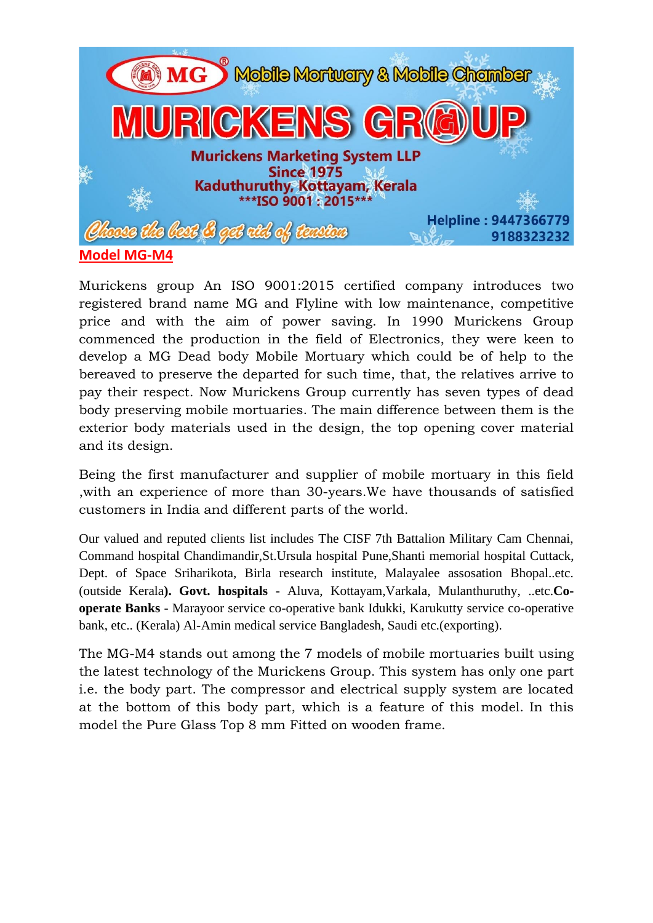

Murickens group An ISO 9001:2015 certified company introduces two registered brand name MG and Flyline with low maintenance, competitive price and with the aim of power saving. In 1990 Murickens Group commenced the production in the field of Electronics, they were keen to develop a MG Dead body Mobile Mortuary which could be of help to the bereaved to preserve the departed for such time, that, the relatives arrive to pay their respect. Now Murickens Group currently has seven types of dead body preserving mobile mortuaries. The main difference between them is the exterior body materials used in the design, the top opening cover material and its design.

Being the first manufacturer and supplier of mobile mortuary in this field ,with an experience of more than 30-years.We have thousands of satisfied customers in India and different parts of the world.

Our valued and reputed clients list includes The CISF 7th Battalion Military Cam Chennai, Command hospital Chandimandir,St.Ursula hospital Pune,Shanti memorial hospital Cuttack, Dept. of Space Sriharikota, Birla research institute, Malayalee assosation Bhopal..etc. (outside Kerala**). Govt. hospitals** - Aluva, Kottayam,Varkala, Mulanthuruthy, ..etc.**Cooperate Banks** - Marayoor service co-operative bank Idukki, Karukutty service co-operative bank, etc.. (Kerala) Al-Amin medical service Bangladesh, Saudi etc.(exporting).

The MG-M4 stands out among the 7 models of mobile mortuaries built using the latest technology of the Murickens Group. This system has only one part i.e. the body part. The compressor and electrical supply system are located at the bottom of this body part, which is a feature of this model. In this model the Pure Glass Top 8 mm Fitted on wooden frame.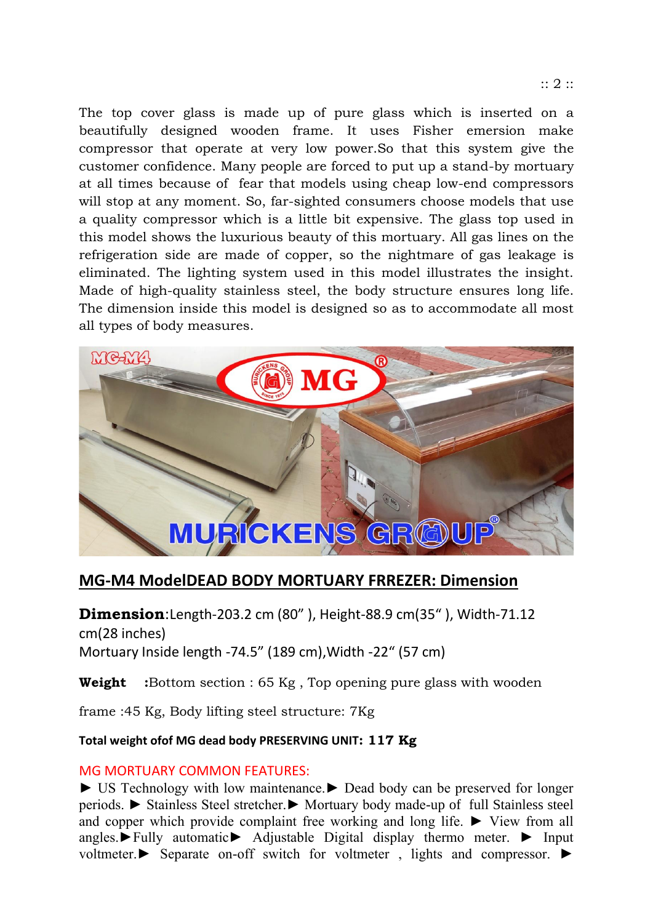The top cover glass is made up of pure glass which is inserted on a beautifully designed wooden frame. It uses Fisher emersion make compressor that operate at very low power.So that this system give the customer confidence. Many people are forced to put up a stand-by mortuary at all times because of fear that models using cheap low-end compressors will stop at any moment. So, far-sighted consumers choose models that use a quality compressor which is a little bit expensive. The glass top used in this model shows the luxurious beauty of this mortuary. All gas lines on the refrigeration side are made of copper, so the nightmare of gas leakage is eliminated. The lighting system used in this model illustrates the insight. Made of high-quality stainless steel, the body structure ensures long life. The dimension inside this model is designed so as to accommodate all most all types of body measures.



# **MG-M4 ModelDEAD BODY MORTUARY FRREZER: Dimension**

**Dimension**:Length-203.2 cm (80" ), Height-88.9 cm(35" ), Width-71.12 cm(28 inches) Mortuary Inside length -74.5" (189 cm),Width -22" (57 cm)

**Weight** :Bottom section : 65 Kg, Top opening pure glass with wooden

frame :45 Kg, Body lifting steel structure: 7Kg

#### **Total weight ofof MG dead body PRESERVING UNIT: 117 Kg**

#### MG MORTUARY COMMON FEATURES:

► US Technology with low maintenance.► Dead body can be preserved for longer periods. ► Stainless Steel stretcher.► Mortuary body made-up of full Stainless steel and copper which provide complaint free working and long life. ► View from all angles.►Fully automatic► Adjustable Digital display thermo meter. ► Input voltmeter.► Separate on-off switch for voltmeter , lights and compressor. ►